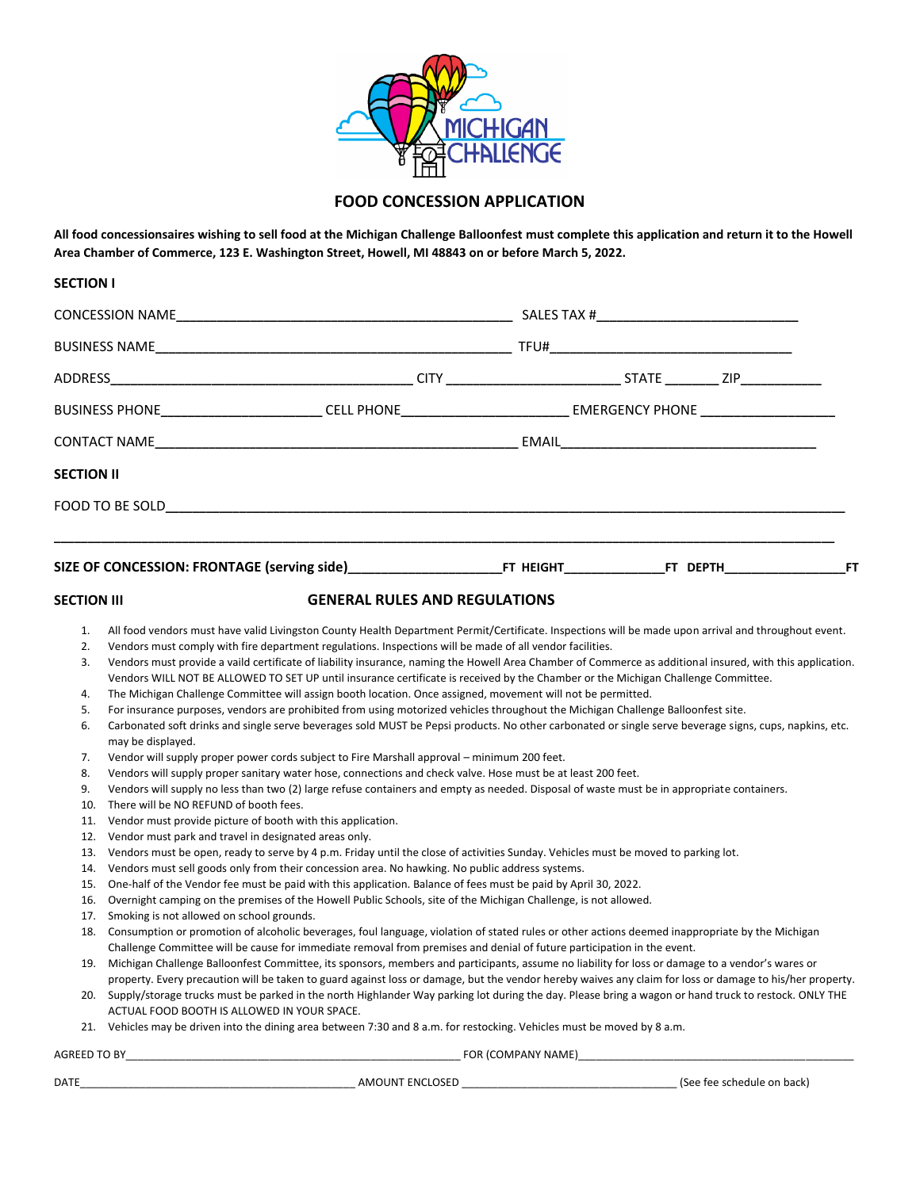

## **FOOD CONCESSION APPLICATION**

**All food concessionsaires wishing to sell food at the Michigan Challenge Balloonfest must complete this application and return it to the Howell Area Chamber of Commerce, 123 E. Washington Street, Howell, MI 48843 on or before March 5, 2022.**

| <b>SECTION I</b>                                                                |                                                                                                                                                                                                                                                                                                                                                                                                                                                                                                                                                                                                                                                                                                                                                                                                                                                                                                                                                                                                                                                                                                                                                                                                                                                                                                                                                                                                                                                                                                                                                                                                                                                                                                                                                                                                                                                                                                                                                                                                                                                                                                                                                                                                                                                                                                                                                                                                                                                                                                                                                                                                                                                                                                                                                                                                                                                                                                                                                                                                                                      |                                      |                            |  |  |
|---------------------------------------------------------------------------------|--------------------------------------------------------------------------------------------------------------------------------------------------------------------------------------------------------------------------------------------------------------------------------------------------------------------------------------------------------------------------------------------------------------------------------------------------------------------------------------------------------------------------------------------------------------------------------------------------------------------------------------------------------------------------------------------------------------------------------------------------------------------------------------------------------------------------------------------------------------------------------------------------------------------------------------------------------------------------------------------------------------------------------------------------------------------------------------------------------------------------------------------------------------------------------------------------------------------------------------------------------------------------------------------------------------------------------------------------------------------------------------------------------------------------------------------------------------------------------------------------------------------------------------------------------------------------------------------------------------------------------------------------------------------------------------------------------------------------------------------------------------------------------------------------------------------------------------------------------------------------------------------------------------------------------------------------------------------------------------------------------------------------------------------------------------------------------------------------------------------------------------------------------------------------------------------------------------------------------------------------------------------------------------------------------------------------------------------------------------------------------------------------------------------------------------------------------------------------------------------------------------------------------------------------------------------------------------------------------------------------------------------------------------------------------------------------------------------------------------------------------------------------------------------------------------------------------------------------------------------------------------------------------------------------------------------------------------------------------------------------------------------------------------|--------------------------------------|----------------------------|--|--|
|                                                                                 |                                                                                                                                                                                                                                                                                                                                                                                                                                                                                                                                                                                                                                                                                                                                                                                                                                                                                                                                                                                                                                                                                                                                                                                                                                                                                                                                                                                                                                                                                                                                                                                                                                                                                                                                                                                                                                                                                                                                                                                                                                                                                                                                                                                                                                                                                                                                                                                                                                                                                                                                                                                                                                                                                                                                                                                                                                                                                                                                                                                                                                      |                                      |                            |  |  |
|                                                                                 |                                                                                                                                                                                                                                                                                                                                                                                                                                                                                                                                                                                                                                                                                                                                                                                                                                                                                                                                                                                                                                                                                                                                                                                                                                                                                                                                                                                                                                                                                                                                                                                                                                                                                                                                                                                                                                                                                                                                                                                                                                                                                                                                                                                                                                                                                                                                                                                                                                                                                                                                                                                                                                                                                                                                                                                                                                                                                                                                                                                                                                      |                                      |                            |  |  |
|                                                                                 |                                                                                                                                                                                                                                                                                                                                                                                                                                                                                                                                                                                                                                                                                                                                                                                                                                                                                                                                                                                                                                                                                                                                                                                                                                                                                                                                                                                                                                                                                                                                                                                                                                                                                                                                                                                                                                                                                                                                                                                                                                                                                                                                                                                                                                                                                                                                                                                                                                                                                                                                                                                                                                                                                                                                                                                                                                                                                                                                                                                                                                      |                                      |                            |  |  |
|                                                                                 | BUSINESS PHONE____________________________CELL PHONE____________________________ EMERGENCY PHONE ___________________                                                                                                                                                                                                                                                                                                                                                                                                                                                                                                                                                                                                                                                                                                                                                                                                                                                                                                                                                                                                                                                                                                                                                                                                                                                                                                                                                                                                                                                                                                                                                                                                                                                                                                                                                                                                                                                                                                                                                                                                                                                                                                                                                                                                                                                                                                                                                                                                                                                                                                                                                                                                                                                                                                                                                                                                                                                                                                                 |                                      |                            |  |  |
|                                                                                 |                                                                                                                                                                                                                                                                                                                                                                                                                                                                                                                                                                                                                                                                                                                                                                                                                                                                                                                                                                                                                                                                                                                                                                                                                                                                                                                                                                                                                                                                                                                                                                                                                                                                                                                                                                                                                                                                                                                                                                                                                                                                                                                                                                                                                                                                                                                                                                                                                                                                                                                                                                                                                                                                                                                                                                                                                                                                                                                                                                                                                                      |                                      |                            |  |  |
| <b>SECTION II</b>                                                               |                                                                                                                                                                                                                                                                                                                                                                                                                                                                                                                                                                                                                                                                                                                                                                                                                                                                                                                                                                                                                                                                                                                                                                                                                                                                                                                                                                                                                                                                                                                                                                                                                                                                                                                                                                                                                                                                                                                                                                                                                                                                                                                                                                                                                                                                                                                                                                                                                                                                                                                                                                                                                                                                                                                                                                                                                                                                                                                                                                                                                                      |                                      |                            |  |  |
|                                                                                 |                                                                                                                                                                                                                                                                                                                                                                                                                                                                                                                                                                                                                                                                                                                                                                                                                                                                                                                                                                                                                                                                                                                                                                                                                                                                                                                                                                                                                                                                                                                                                                                                                                                                                                                                                                                                                                                                                                                                                                                                                                                                                                                                                                                                                                                                                                                                                                                                                                                                                                                                                                                                                                                                                                                                                                                                                                                                                                                                                                                                                                      |                                      |                            |  |  |
|                                                                                 |                                                                                                                                                                                                                                                                                                                                                                                                                                                                                                                                                                                                                                                                                                                                                                                                                                                                                                                                                                                                                                                                                                                                                                                                                                                                                                                                                                                                                                                                                                                                                                                                                                                                                                                                                                                                                                                                                                                                                                                                                                                                                                                                                                                                                                                                                                                                                                                                                                                                                                                                                                                                                                                                                                                                                                                                                                                                                                                                                                                                                                      |                                      |                            |  |  |
| <b>SECTION III</b>                                                              |                                                                                                                                                                                                                                                                                                                                                                                                                                                                                                                                                                                                                                                                                                                                                                                                                                                                                                                                                                                                                                                                                                                                                                                                                                                                                                                                                                                                                                                                                                                                                                                                                                                                                                                                                                                                                                                                                                                                                                                                                                                                                                                                                                                                                                                                                                                                                                                                                                                                                                                                                                                                                                                                                                                                                                                                                                                                                                                                                                                                                                      | <b>GENERAL RULES AND REGULATIONS</b> |                            |  |  |
| 2.<br>3.<br>4.<br>5.<br>6.<br>7.<br>8.<br>9.<br>10.<br>11.<br>12.<br>13.<br>14. | All food vendors must have valid Livingston County Health Department Permit/Certificate. Inspections will be made upon arrival and throughout event.<br>1.<br>Vendors must comply with fire department regulations. Inspections will be made of all vendor facilities.<br>Vendors must provide a vaild certificate of liability insurance, naming the Howell Area Chamber of Commerce as additional insured, with this application.<br>Vendors WILL NOT BE ALLOWED TO SET UP until insurance certificate is received by the Chamber or the Michigan Challenge Committee.<br>The Michigan Challenge Committee will assign booth location. Once assigned, movement will not be permitted.<br>For insurance purposes, vendors are prohibited from using motorized vehicles throughout the Michigan Challenge Balloonfest site.<br>Carbonated soft drinks and single serve beverages sold MUST be Pepsi products. No other carbonated or single serve beverage signs, cups, napkins, etc.<br>may be displayed.<br>Vendor will supply proper power cords subject to Fire Marshall approval - minimum 200 feet.<br>Vendors will supply proper sanitary water hose, connections and check valve. Hose must be at least 200 feet.<br>Vendors will supply no less than two (2) large refuse containers and empty as needed. Disposal of waste must be in appropriate containers.<br>There will be NO REFUND of booth fees.<br>Vendor must provide picture of booth with this application.<br>Vendor must park and travel in designated areas only.<br>Vendors must be open, ready to serve by 4 p.m. Friday until the close of activities Sunday. Vehicles must be moved to parking lot.<br>Vendors must sell goods only from their concession area. No hawking. No public address systems.<br>One-half of the Vendor fee must be paid with this application. Balance of fees must be paid by April 30, 2022.<br>15.<br>Overnight camping on the premises of the Howell Public Schools, site of the Michigan Challenge, is not allowed.<br>16.<br>Smoking is not allowed on school grounds.<br>17.<br>18. Consumption or promotion of alcoholic beverages, foul language, violation of stated rules or other actions deemed inappropriate by the Michigan<br>Challenge Committee will be cause for immediate removal from premises and denial of future participation in the event.<br>19. Michigan Challenge Balloonfest Committee, its sponsors, members and participants, assume no liability for loss or damage to a vendor's wares or<br>property. Every precaution will be taken to guard against loss or damage, but the vendor hereby waives any claim for loss or damage to his/her property.<br>20. Supply/storage trucks must be parked in the north Highlander Way parking lot during the day. Please bring a wagon or hand truck to restock. ONLY THE<br>ACTUAL FOOD BOOTH IS ALLOWED IN YOUR SPACE.<br>21. Vehicles may be driven into the dining area between 7:30 and 8 a.m. for restocking. Vehicles must be moved by 8 a.m. |                                      |                            |  |  |
|                                                                                 |                                                                                                                                                                                                                                                                                                                                                                                                                                                                                                                                                                                                                                                                                                                                                                                                                                                                                                                                                                                                                                                                                                                                                                                                                                                                                                                                                                                                                                                                                                                                                                                                                                                                                                                                                                                                                                                                                                                                                                                                                                                                                                                                                                                                                                                                                                                                                                                                                                                                                                                                                                                                                                                                                                                                                                                                                                                                                                                                                                                                                                      |                                      |                            |  |  |
| DATE                                                                            |                                                                                                                                                                                                                                                                                                                                                                                                                                                                                                                                                                                                                                                                                                                                                                                                                                                                                                                                                                                                                                                                                                                                                                                                                                                                                                                                                                                                                                                                                                                                                                                                                                                                                                                                                                                                                                                                                                                                                                                                                                                                                                                                                                                                                                                                                                                                                                                                                                                                                                                                                                                                                                                                                                                                                                                                                                                                                                                                                                                                                                      |                                      | (See fee schedule on back) |  |  |